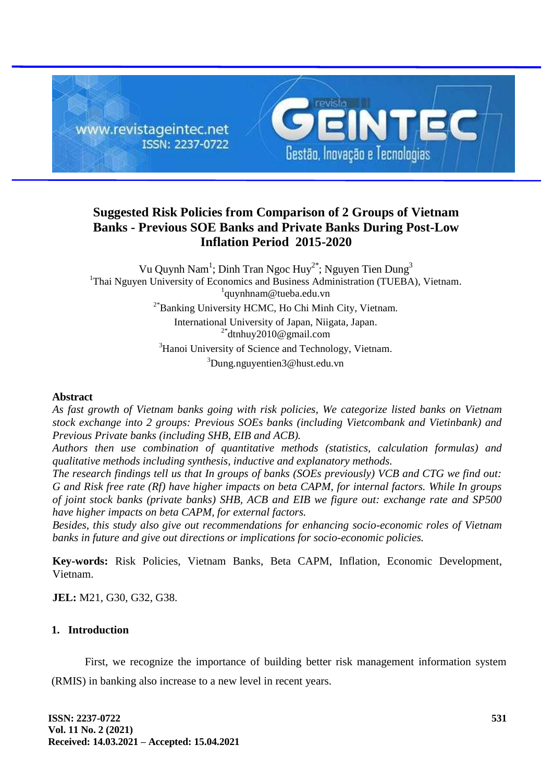

# **Suggested Risk Policies from Comparison of 2 Groups of Vietnam Banks - Previous SOE Banks and Private Banks During Post-Low Inflation Period 2015-2020**

Vu Quynh Nam<sup>1</sup>; Dinh Tran Ngoc Huy<sup>2\*</sup>; Nguyen Tien Dung<sup>3</sup> <sup>1</sup>Thai Nguyen University of Economics and Business Administration (TUEBA), Vietnam. 1 [quynhnam@tueba.edu.vn](mailto:quynhnam@tueba.edu.vn)  2\*Banking University HCMC, Ho Chi Minh City, Vietnam. International University of Japan, Niigata, Japan.  $2^*$ [dtnhuy2010@gmail.com](mailto:dtnhuy2010@gmail.com) <sup>3</sup>Hanoi University of Science and Technology, Vietnam. <sup>3</sup>[Dung.nguyentien3@hust.edu.vn](mailto:Dung.nguyentien3@hust.edu.vn) 

## **Abstract**

*As fast growth of Vietnam banks going with risk policies, We categorize listed banks on Vietnam stock exchange into 2 groups: Previous SOEs banks (including Vietcombank and Vietinbank) and Previous Private banks (including SHB, EIB and ACB).*

*Authors then use combination of quantitative methods (statistics, calculation formulas) and qualitative methods including synthesis, inductive and explanatory methods.* 

*The research findings tell us that In groups of banks (SOEs previously) VCB and CTG we find out: G and Risk free rate (Rf) have higher impacts on beta CAPM, for internal factors. While In groups of joint stock banks (private banks) SHB, ACB and EIB we figure out: exchange rate and SP500 have higher impacts on beta CAPM, for external factors.* 

*Besides, this study also give out recommendations for enhancing socio-economic roles of Vietnam banks in future and give out directions or implications for socio-economic policies.*

**Key-words:** Risk Policies, Vietnam Banks, Beta CAPM, Inflation, Economic Development, Vietnam.

**JEL:** M21, G30, G32, G38.

## **1. Introduction**

First, we recognize the importance of building better risk management information system (RMIS) in banking also increase to a new level in recent years.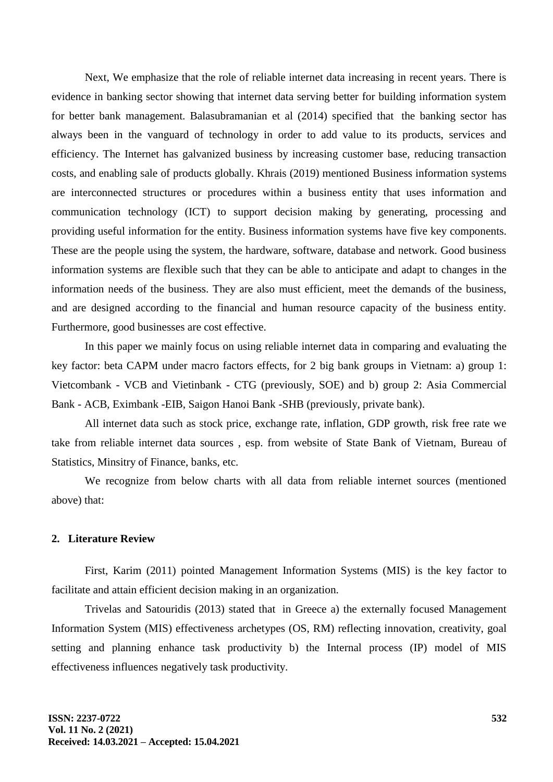Next, We emphasize that the role of reliable internet data increasing in recent years. There is evidence in banking sector showing that internet data serving better for building information system for better bank management. Balasubramanian et al (2014) specified that the banking sector has always been in the vanguard of technology in order to add value to its products, services and efficiency. The Internet has galvanized business by increasing customer base, reducing transaction costs, and enabling sale of products globally. Khrais (2019) mentioned Business information systems are interconnected structures or procedures within a business entity that uses information and communication technology (ICT) to support decision making by generating, processing and providing useful information for the entity. Business information systems have five key components. These are the people using the system, the hardware, software, database and network. Good business information systems are flexible such that they can be able to anticipate and adapt to changes in the information needs of the business. They are also must efficient, meet the demands of the business, and are designed according to the financial and human resource capacity of the business entity. Furthermore, good businesses are cost effective.

In this paper we mainly focus on using reliable internet data in comparing and evaluating the key factor: beta CAPM under macro factors effects, for 2 big bank groups in Vietnam: a) group 1: Vietcombank - VCB and Vietinbank - CTG (previously, SOE) and b) group 2: Asia Commercial Bank - ACB, Eximbank -EIB, Saigon Hanoi Bank -SHB (previously, private bank).

All internet data such as stock price, exchange rate, inflation, GDP growth, risk free rate we take from reliable internet data sources , esp. from website of State Bank of Vietnam, Bureau of Statistics, Minsitry of Finance, banks, etc.

We recognize from below charts with all data from reliable internet sources (mentioned above) that:

## **2. Literature Review**

First, Karim (2011) pointed Management Information Systems (MIS) is the key factor to facilitate and attain efficient decision making in an organization.

Trivelas and Satouridis (2013) stated that in Greece a) the externally focused Management Information System (MIS) effectiveness archetypes (OS, RM) reflecting innovation, creativity, goal setting and planning enhance task productivity b) the Internal process (IP) model of MIS effectiveness influences negatively task productivity.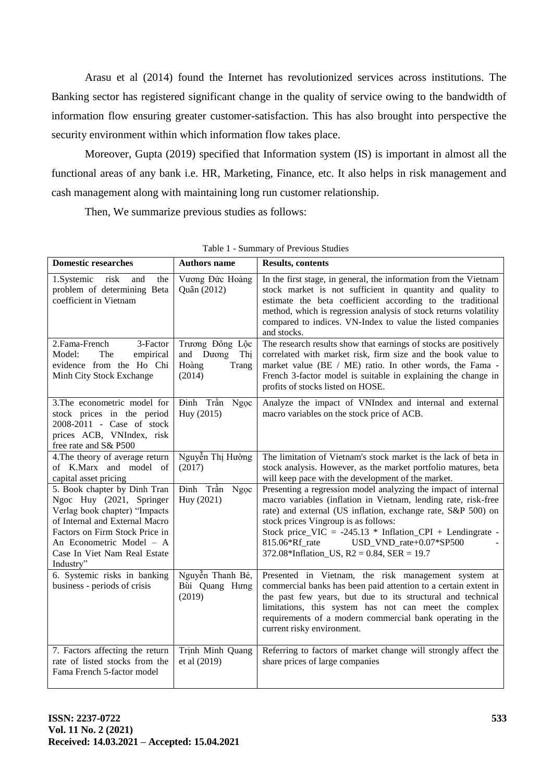Arasu et al (2014) found the Internet has revolutionized services across institutions. The Banking sector has registered significant change in the quality of service owing to the bandwidth of information flow ensuring greater customer-satisfaction. This has also brought into perspective the security environment within which information flow takes place.

Moreover, Gupta (2019) specified that Information system (IS) is important in almost all the functional areas of any bank i.e. HR, Marketing, Finance, etc. It also helps in risk management and cash management along with maintaining long run customer relationship.

Then, We summarize previous studies as follows:

| <b>Domestic researches</b>                                                                                                                                                                                                             | <b>Authors name</b>                                             | <b>Results, contents</b>                                                                                                                                                                                                                                                                                                                                                                              |
|----------------------------------------------------------------------------------------------------------------------------------------------------------------------------------------------------------------------------------------|-----------------------------------------------------------------|-------------------------------------------------------------------------------------------------------------------------------------------------------------------------------------------------------------------------------------------------------------------------------------------------------------------------------------------------------------------------------------------------------|
| 1.Systemic<br>risk<br>and<br>the<br>problem of determining Beta<br>coefficient in Vietnam                                                                                                                                              | Vương Đức Hoàng<br>Quân (2012)                                  | In the first stage, in general, the information from the Vietnam<br>stock market is not sufficient in quantity and quality to<br>estimate the beta coefficient according to the traditional<br>method, which is regression analysis of stock returns volatility<br>compared to indices. VN-Index to value the listed companies<br>and stocks.                                                         |
| 2.Fama-French<br>3-Factor<br>The<br>Model:<br>empirical<br>evidence from the Ho Chi<br>Minh City Stock Exchange                                                                                                                        | Trương Đông Lộc<br>and Duong<br>Thị<br>Hoàng<br>Trang<br>(2014) | The research results show that earnings of stocks are positively<br>correlated with market risk, firm size and the book value to<br>market value (BE / ME) ratio. In other words, the Fama -<br>French 3-factor model is suitable in explaining the change in<br>profits of stocks listed on HOSE.                                                                                                    |
| 3. The econometric model for<br>stock prices in the period<br>2008-2011 - Case of stock<br>prices ACB, VNIndex, risk<br>free rate and S& P500                                                                                          | Đinh Trần<br>Ngọc<br>Huy (2015)                                 | Analyze the impact of VNIndex and internal and external<br>macro variables on the stock price of ACB.                                                                                                                                                                                                                                                                                                 |
| 4. The theory of average return<br>of K.Marx and model of<br>capital asset pricing                                                                                                                                                     | Nguyễn Thị Hường<br>(2017)                                      | The limitation of Vietnam's stock market is the lack of beta in<br>stock analysis. However, as the market portfolio matures, beta<br>will keep pace with the development of the market.                                                                                                                                                                                                               |
| 5. Book chapter by Dinh Tran<br>Ngoc Huy (2021, Springer<br>Verlag book chapter) "Impacts<br>of Internal and External Macro<br>Factors on Firm Stock Price in<br>An Econometric Model - A<br>Case In Viet Nam Real Estate<br>Industry" | Đinh Trần<br>Ngọc<br>Huy (2021)                                 | Presenting a regression model analyzing the impact of internal<br>macro variables (inflation in Vietnam, lending rate, risk-free<br>rate) and external (US inflation, exchange rate, S&P 500) on<br>stock prices Vingroup is as follows:<br>Stock price_VIC = $-245.13$ * Inflation_CPI + Lendingrate -<br>USD_VND_rate+0.07*SP500<br>815.06*Rf rate<br>372.08*Inflation_US, $R2 = 0.84$ , SER = 19.7 |
| 6. Systemic risks in banking<br>business - periods of crisis                                                                                                                                                                           | Nguyễn Thanh Bé,<br>Bùi Quang Hưng<br>(2019)                    | Presented in Vietnam, the risk management system at<br>commercial banks has been paid attention to a certain extent in<br>the past few years, but due to its structural and technical<br>limitations, this system has not can meet the complex<br>requirements of a modern commercial bank operating in the<br>current risky environment.                                                             |
| 7. Factors affecting the return<br>rate of listed stocks from the<br>Fama French 5-factor model                                                                                                                                        | Trịnh Minh Quang<br>et al (2019)                                | Referring to factors of market change will strongly affect the<br>share prices of large companies                                                                                                                                                                                                                                                                                                     |

Table 1 - Summary of Previous Studies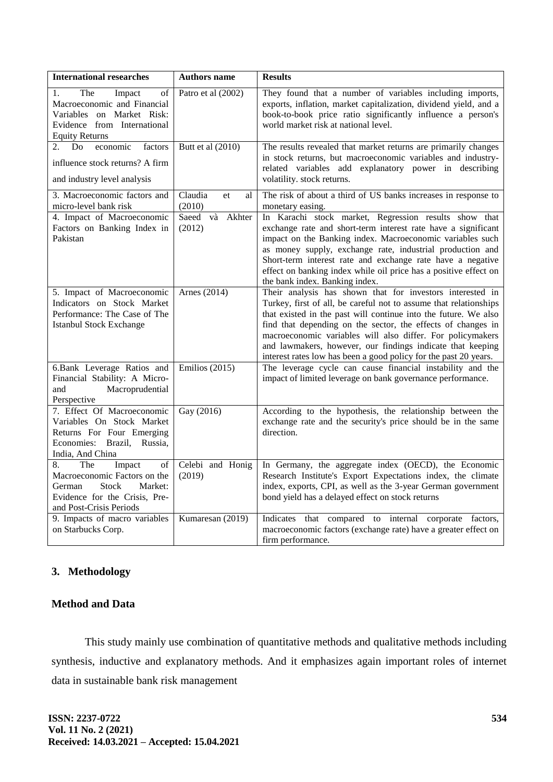| <b>International researches</b>                                                                                                                            | <b>Authors name</b>           | <b>Results</b>                                                                                                                                                                                                                                                                                                                                                                                                                                                    |
|------------------------------------------------------------------------------------------------------------------------------------------------------------|-------------------------------|-------------------------------------------------------------------------------------------------------------------------------------------------------------------------------------------------------------------------------------------------------------------------------------------------------------------------------------------------------------------------------------------------------------------------------------------------------------------|
| The<br>Impact<br>of<br>1.<br>Macroeconomic and Financial<br>Variables on Market Risk:<br>Evidence from International<br><b>Equity Returns</b>              | Patro et al (2002)            | They found that a number of variables including imports,<br>exports, inflation, market capitalization, dividend yield, and a<br>book-to-book price ratio significantly influence a person's<br>world market risk at national level.                                                                                                                                                                                                                               |
| economic<br>2.<br>Do<br>factors<br>influence stock returns? A firm<br>and industry level analysis                                                          | Butt et al (2010)             | The results revealed that market returns are primarily changes<br>in stock returns, but macroeconomic variables and industry-<br>related variables add explanatory power in describing<br>volatility. stock returns.                                                                                                                                                                                                                                              |
| 3. Macroeconomic factors and<br>micro-level bank risk                                                                                                      | Claudia<br>et<br>al<br>(2010) | The risk of about a third of US banks increases in response to<br>monetary easing.                                                                                                                                                                                                                                                                                                                                                                                |
| 4. Impact of Macroeconomic<br>Factors on Banking Index in<br>Pakistan                                                                                      | Saeed và Akhter<br>(2012)     | In Karachi stock market, Regression results show that<br>exchange rate and short-term interest rate have a significant<br>impact on the Banking index. Macroeconomic variables such<br>as money supply, exchange rate, industrial production and<br>Short-term interest rate and exchange rate have a negative<br>effect on banking index while oil price has a positive effect on<br>the bank index. Banking index.                                              |
| 5. Impact of Macroeconomic<br>Indicators on Stock Market<br>Performance: The Case of The<br><b>Istanbul Stock Exchange</b>                                 | Arnes (2014)                  | Their analysis has shown that for investors interested in<br>Turkey, first of all, be careful not to assume that relationships<br>that existed in the past will continue into the future. We also<br>find that depending on the sector, the effects of changes in<br>macroeconomic variables will also differ. For policymakers<br>and lawmakers, however, our findings indicate that keeping<br>interest rates low has been a good policy for the past 20 years. |
| 6.Bank Leverage Ratios and<br>Financial Stability: A Micro-<br>Macroprudential<br>and<br>Perspective                                                       | Emilios $(2015)$              | The leverage cycle can cause financial instability and the<br>impact of limited leverage on bank governance performance.                                                                                                                                                                                                                                                                                                                                          |
| 7. Effect Of Macroeconomic<br>Variables On Stock Market<br>Returns For Four Emerging<br>Economies: Brazil, Russia,<br>India, And China                     | Gay (2016)                    | According to the hypothesis, the relationship between the<br>exchange rate and the security's price should be in the same<br>direction.                                                                                                                                                                                                                                                                                                                           |
| 8.<br>The<br>Impact<br>of<br>Macroeconomic Factors on the<br><b>Stock</b><br>Market:<br>German<br>Evidence for the Crisis, Pre-<br>and Post-Crisis Periods | Celebi and Honig<br>(2019)    | In Germany, the aggregate index (OECD), the Economic<br>Research Institute's Export Expectations index, the climate<br>index, exports, CPI, as well as the 3-year German government<br>bond yield has a delayed effect on stock returns                                                                                                                                                                                                                           |
| 9. Impacts of macro variables<br>on Starbucks Corp.                                                                                                        | Kumaresan (2019)              | Indicates that compared to internal corporate factors,<br>macroeconomic factors (exchange rate) have a greater effect on<br>firm performance.                                                                                                                                                                                                                                                                                                                     |

## **3. Methodology**

## **Method and Data**

This study mainly use combination of quantitative methods and qualitative methods including synthesis, inductive and explanatory methods. And it emphasizes again important roles of internet data in sustainable bank risk management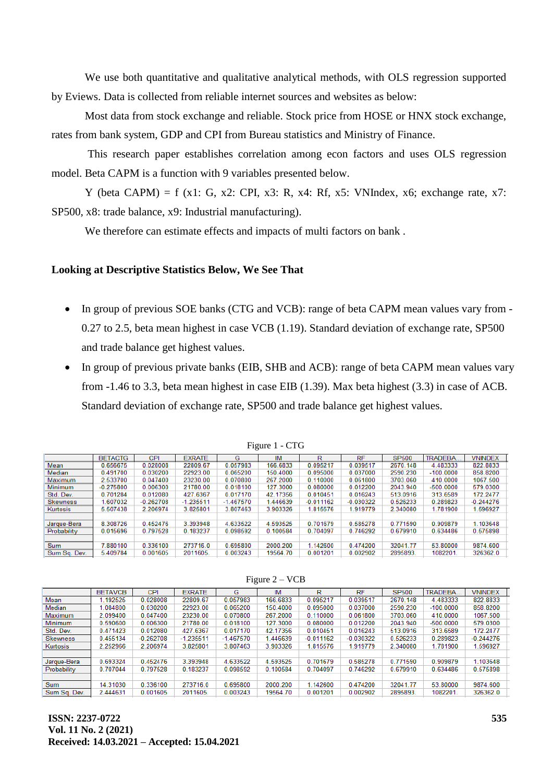We use both quantitative and qualitative analytical methods, with OLS regression supported by Eviews. Data is collected from reliable internet sources and websites as below:

Most data from stock exchange and reliable. Stock price from HOSE or HNX stock exchange, rates from bank system, GDP and CPI from Bureau statistics and Ministry of Finance.

This research paper establishes correlation among econ factors and uses OLS regression model. Beta CAPM is a function with 9 variables presented below.

Y (beta CAPM) = f (x1: G, x2: CPI, x3: R, x4: Rf, x5: VNIndex, x6; exchange rate, x7: SP500, x8: trade balance, x9: Industrial manufacturing).

We therefore can estimate effects and impacts of multi factors on bank .

## **Looking at Descriptive Statistics Below, We See That**

- In group of previous SOE banks (CTG and VCB): range of beta CAPM mean values vary from -0.27 to 2.5, beta mean highest in case VCB (1.19). Standard deviation of exchange rate, SP500 and trade balance get highest values.
- In group of previous private banks (EIB, SHB and ACB): range of beta CAPM mean values vary from -1.46 to 3.3, beta mean highest in case EIB (1.39). Max beta highest (3.3) in case of ACB. Standard deviation of exchange rate, SP500 and trade balance get highest values.

|                 | <b>BETACTG</b> | CPI         | <b>EXRATE</b> | G           | <b>IM</b> | R           | <b>RF</b>   | <b>SP500</b> | <b>TRADEBA.</b> | <b>VNINDEX</b> |
|-----------------|----------------|-------------|---------------|-------------|-----------|-------------|-------------|--------------|-----------------|----------------|
| Mean            | 0.656675       | 0.028008    | 22809.67      | 0.057983    | 166.6833  | 0.095217    | 0.039517    | 2670.148     | 4.483333        | 822.8833       |
| Median          | 0.491700       | 0.030200    | 22923.00      | 0.065200    | 150.4000  | 0.095000    | 0.037000    | 2590.230     | $-100.0000$     | 858,8200       |
| Maximum         | 2.633700       | 0.047400    | 23230.00      | 0.070800    | 267.2000  | 0.110000    | 0.061800    | 3703.060     | 410.0000        | 1067.500       |
| Minimum         | $-0.275800$    | 0.006300    | 21780.00      | 0.018100    | 127.3000  | 0.080000    | 0.012200    | 2043.940     | $-500.0000$     | 579.0300       |
| Std. Dev.       | 0.701284       | 0.012080    | 427.6367      | 0.017170    | 42.17356  | 0.010451    | 0.016243    | 513.0916     | 313.6589        | 172.2477       |
| <b>Skewness</b> | .607032        | $-0.262708$ | $-1.236611$   | $-1.467570$ | .446639   | $-0.011162$ | $-0.030322$ | 0.626233     | 0.289823        | $-0.244276$    |
| Kurtosis        | 5.507438       | 2.206974    | 3.825801      | 3.807463    | 3.903326  | 1.815576    | .919779     | 2.340080     | 1.781900        | 1.596927       |
|                 |                |             |               |             |           |             |             |              |                 |                |
| Jarque-Bera     | 8.308726       | 0.452476    | 3.393948      | 4.633522    | 4.593525  | 0.701679    | 0.585278    | 0.771590     | 0.909879        | 1.103648       |
| Probability     | 0.015696       | 0.797528    | 0.183237      | 0.098592    | 0.100584  | 0.704097    | 0.746292    | 0.679910     | 0.634486        | 0.575898       |
|                 |                |             |               |             |           |             |             |              |                 |                |
| Sum             | 7.880100       | 0.336100    | 273716.0      | 0.695800    | 2000.200  | 1.142600    | 0.474200    | 32041.77     | 53.80000        | 9874.600       |
| Sum Sq. Dev.    | 5.409784       | 0.001605    | 2011605.      | 0.003243    | 19564.70  | 0.001201    | 0.002902    | 2895893      | 1082201         | 326362.0       |

Figure 1 - CTG

|                 | <b>BETAVCB</b> | CPI         | <b>EXRATE</b> | G           | <b>IM</b> | R           | <b>RF</b>   | <b>SP500</b> | <b>TRADEBA</b> | <b>VNINDEX</b> |
|-----------------|----------------|-------------|---------------|-------------|-----------|-------------|-------------|--------------|----------------|----------------|
| Mean            | 1.192525       | 0.028008    | 22809.67      | 0.057983    | 166.6833  | 0.095217    | 0.039517    | 2670.148     | 4.483333       | 822.8833       |
| Median          | 1.084800       | 0.030200    | 22923.00      | 0.065200    | 150.4000  | 0.095000    | 0.037000    | 2590.230     | $-100.0000$    | 858.8200       |
| Maximum         | 2.099400       | 0.047400    | 23230.00      | 0.070800    | 267.2000  | 0.110000    | 0.061800    | 3703.060     | 410.0000       | 1067.500       |
| <b>Minimum</b>  | 0.590600       | 0.006300    | 21780.00      | 0.018100    | 127.3000  | 0.080000    | 0.012200    | 2043.940     | $-500.0000$    | 579.0300       |
| Std. Dev.       | 0.471423       | 0.012080    | 427.6367      | 0.017170    | 42.17356  | 0.010451    | 0.016243    | 513.0916     | 313.6589       | 172,2477       |
| <b>Skewness</b> | 0.455134       | $-0.262708$ | $-1.235511$   | $-1.467570$ | 1.446639  | $-0.011162$ | $-0.030322$ | 0.526233     | 0.289823       | $-0.244276$    |
| Kurtosis        | 2.252966       | 2.206974    | 3.825801      | 3.807463    | 3.903326  | 1.815576    | 1.919779    | 2.340080     | 1.781900       | 1.596927       |
|                 |                |             |               |             |           |             |             |              |                |                |
| Jarque-Bera     | 0.693324       | 0.452476    | 3.393948      | 4.633522    | 4.593525  | 0.701679    | 0.585278    | 0.771590     | 0.909879       | 1.103648       |
| Probability     | 0.707044       | 0.797528    | 0.183237      | 0.098592    | 0.100584  | 0.704097    | 0.746292    | 0.679910     | 0.634486       | 0.575898       |
|                 |                |             |               |             |           |             |             |              |                |                |
| <b>Sum</b>      | 14.31030       | 0.336100    | 273716.0      | 0.695800    | 2000.200  | 1.142600    | 0.474200    | 32041.77     | 53.80000       | 9874.600       |
| Sum Sq. Dev.    | 2.444631       | 0.001605    | 2011605.      | 0.003243    | 19564.70  | 0.001201    | 0.002902    | 2895893.     | 1082201        | 326362.0       |
|                 |                |             |               |             |           |             |             |              |                |                |

# Figure 2 – VCB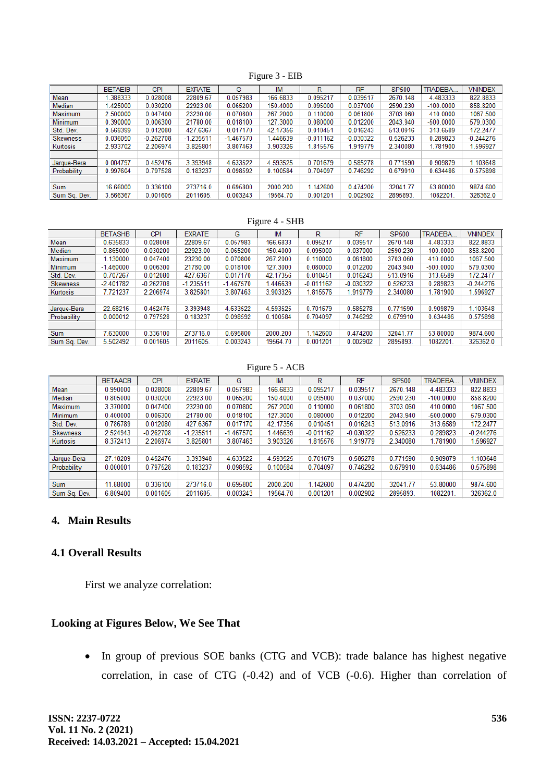Figure 3 - EIB

|                 | <b>BETAEIB</b> | <b>CPI</b>  | <b>EXRATE</b> | G           | IM       | R           | <b>RF</b>   | <b>SP500</b> | <b>TRADEBA.</b> | <b>VNINDEX</b> |
|-----------------|----------------|-------------|---------------|-------------|----------|-------------|-------------|--------------|-----------------|----------------|
| Mean            | .388333        | 0.028008    | 22809.67      | 0.057983    | 166.6833 | 0.095217    | 0.039517    | 2670.148     | 4.483333        | 822.8833       |
| Median          | .425000        | 0.030200    | 22923.00      | 0.065200    | 150.4000 | 0.095000    | 0.037000    | 2590.230     | $-100.0000$     | 858.8200       |
| <b>Maximum</b>  | 2.500000       | 0.047400    | 23230.00      | 0.070800    | 267.2000 | 0.110000    | 0.061800    | 3703.060     | 410.0000        | 1067.500       |
| <b>Minimum</b>  | 0.390000       | 0.006300    | 21780.00      | 0.018100    | 127.3000 | 0.080000    | 0.012200    | 2043.940     | $-500.0000$     | 579.0300       |
| Std. Dev.       | 0.569399       | 0.012080    | 427.6367      | 0.017170    | 42.17356 | 0.010451    | 0.016243    | 513.0916     | 313.6589        | 172.2477       |
| <b>Skewness</b> | 0.036050       | $-0.262708$ | $-1.235511$   | $-1.467570$ | 1.446639 | $-0.011162$ | $-0.030322$ | 0.526233     | 0.289823        | $-0.244276$    |
| Kurtosis        | 2.933702       | 2.206974    | 3.825801      | 3.807463    | 3.903326 | 1.815576    | 1.919779    | 2.340080     | 1.781900        | .596927        |
|                 |                |             |               |             |          |             |             |              |                 |                |
| Jarque-Bera     | 0.004797       | 0.452476    | 3.393948      | 4.633522    | 4.593525 | 0.701679    | 0.585278    | 0.771590     | 0.909879        | 1.103648       |
| Probability     | 0.997604       | 0.797528    | 0.183237      | 0.098592    | 0.100584 | 0.704097    | 0.746292    | 0.679910     | 0.634486        | 0.575898       |
|                 |                |             |               |             |          |             |             |              |                 |                |
| <b>Sum</b>      | 16.66000       | 0.336100    | 273716.0      | 0.695800    | 2000.200 | 1.142600    | 0.474200    | 32041.77     | 53.80000        | 9874.600       |
| Sum Sa. Dev.    | 3.566367       | 0.001605    | 2011605.      | 0.003243    | 19564.70 | 0.001201    | 0.002902    | 2895893      | 1082201.        | 326362.0       |

#### Figure 4 - SHB

|                 | <b>BETASHB</b> | <b>CPI</b>  | <b>EXRATE</b> | G           | <b>IM</b> | R           | <b>RF</b>   | <b>SP500</b> | <b>TRADEBA.</b> | <b>VNINDEX</b> |
|-----------------|----------------|-------------|---------------|-------------|-----------|-------------|-------------|--------------|-----------------|----------------|
| Mean            | 0.635833       | 0.028008    | 22809.67      | 0.057983    | 166.6833  | 0.095217    | 0.039517    | 2670.148     | 4.483333        | 822.8833       |
| Median          | 0.865000       | 0.030200    | 22923.00      | 0.065200    | 150,4000  | 0.095000    | 0.037000    | 2590.230     | $-100.0000$     | 858.8200       |
| Maximum         | 1.130000       | 0.047400    | 23230.00      | 0.070800    | 267.2000  | 0.110000    | 0.061800    | 3703.060     | 410.0000        | 1067.500       |
| Minimum         | $-1.460000$    | 0.006300    | 21780.00      | 0.018100    | 127.3000  | 0.080000    | 0.012200    | 2043.940     | $-500.0000$     | 579.0300       |
| Std. Dev.       | 0.707267       | 0.012080    | 427.6367      | 0.017170    | 42.17356  | 0.010451    | 0.016243    | 513.0916     | 313.6589        | 172,2477       |
| <b>Skewness</b> | $-2.401782$    | $-0.262708$ | $-1.235511$   | $-1.467570$ | 1.446639  | $-0.011162$ | $-0.030322$ | 0.526233     | 0.289823        | $-0.244276$    |
| Kurtosis        | 7.721237       | 2.206974    | 3.825801      | 3.807463    | 3.903326  | 1.815576    | 1.919779    | 2.340080     | 1.781900        | 1.596927       |
|                 |                |             |               |             |           |             |             |              |                 |                |
| Jarque-Bera     | 22.68216       | 0.452476    | 3.393948      | 4.633522    | 4.593525  | 0.701679    | 0.585278    | 0.771590     | 0.909879        | 1.103648       |
| Probability     | 0.000012       | 0.797528    | 0.183237      | 0.098592    | 0.100584  | 0.704097    | 0.746292    | 0.679910     | 0.634486        | 0.575898       |
|                 |                |             |               |             |           |             |             |              |                 |                |
| Sum             | 1.630000       | 0.336100    | 273716.0      | 0.695800    | 2000.200  | 1.142600    | 0.474200    | 32041.77     | 53.80000        | 9874.600       |
| Sum Sq. Dev.    | 5.502492       | 0.001605    | 2011605.      | 0.003243    | 19564.70  | 0.001201    | 0.002902    | 2895893      | 1082201         | 326362.0       |

#### Figure 5 - ACB

|                 | <b>BETAACB</b> | <b>CPI</b>  | <b>EXRATE</b> | G           | <b>IM</b> | R           | <b>RF</b>   | <b>SP500</b> | <b>TRADEBA.</b> | <b>VNINDEX</b> |
|-----------------|----------------|-------------|---------------|-------------|-----------|-------------|-------------|--------------|-----------------|----------------|
| Mean            | 0.990000       | 0.028008    | 22809.67      | 0.057983    | 166.6833  | 0.095217    | 0.039517    | 2670.148     | 4.483333        | 822.8833       |
| Median          | 0.805000       | 0.030200    | 22923.00      | 0.065200    | 150.4000  | 0.095000    | 0.037000    | 2590.230     | $-100.0000$     | 858.8200       |
| <b>Maximum</b>  | 3.370000       | 0.047400    | 23230.00      | 0.070800    | 267.2000  | 0.110000    | 0.061800    | 3703.060     | 410.0000        | 1067.500       |
| Minimum         | 0.400000       | 0.006300    | 21780.00      | 0.018100    | 127.3000  | 0.080000    | 0.012200    | 2043.940     | $-500.0000$     | 579.0300       |
| Std. Dev.       | 0.786789       | 0.012080    | 427.6367      | 0.017170    | 42.17356  | 0.010451    | 0.016243    | 513.0916     | 313.6589        | 172.2477       |
| <b>Skewness</b> | 2.524943       | $-0.262708$ | $-1.235511$   | $-1.467570$ | .446639   | $-0.011162$ | $-0.030322$ | 0.526233     | 0.289823        | $-0.244276$    |
| Kurtosis        | 8.372413       | 2.206974    | 3.825801      | 3.807463    | 3.903326  | 1.815576    | 1.919779    | 2.340080     | 1.781900        | .596927        |
|                 |                |             |               |             |           |             |             |              |                 |                |
| Jarque-Bera     | 27.18209       | 0.452476    | 3.393948      | 4.633522    | 4.593525  | 0.701679    | 0.585278    | 0.771590     | 0.909879        | 1.103648       |
| Probability     | 0.000001       | 0.797528    | 0.183237      | 0.098592    | 0.100584  | 0.704097    | 0.746292    | 0.679910     | 0.634486        | 0.575898       |
|                 |                |             |               |             |           |             |             |              |                 |                |
| Sum             | 11.88000       | 0.336100    | 273716.0      | 0.695800    | 2000.200  | 1.142600    | 0.474200    | 32041.77     | 53.80000        | 9874.600       |
| Sum Sq. Dev.    | 6.809400       | 0.001605    | 2011605.      | 0.003243    | 19564.70  | 0.001201    | 0.002902    | 2895893      | 1082201         | 326362.0       |

### **4. Main Results**

#### **4.1 Overall Results**

First we analyze correlation:

### **Looking at Figures Below, We See That**

 In group of previous SOE banks (CTG and VCB): trade balance has highest negative correlation, in case of CTG (-0.42) and of VCB (-0.6). Higher than correlation of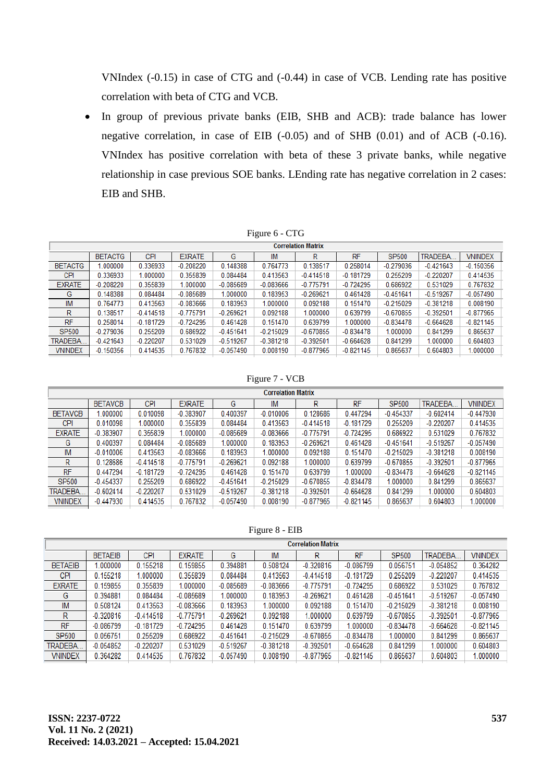VNIndex (-0.15) in case of CTG and (-0.44) in case of VCB. Lending rate has positive correlation with beta of CTG and VCB.

 In group of previous private banks (EIB, SHB and ACB): trade balance has lower negative correlation, in case of EIB (-0.05) and of SHB (0.01) and of ACB (-0.16). VNIndex has positive correlation with beta of these 3 private banks, while negative relationship in case previous SOE banks. LEnding rate has negative correlation in 2 cases: EIB and SHB.

| Figure 6 - CTG |  |  |  |
|----------------|--|--|--|
|----------------|--|--|--|

|                | <b>Correlation Matrix</b> |             |               |             |             |             |             |              |                 |                |  |  |
|----------------|---------------------------|-------------|---------------|-------------|-------------|-------------|-------------|--------------|-----------------|----------------|--|--|
|                | <b>BETACTG</b>            | <b>CPI</b>  | <b>EXRATE</b> | G           | IM          | R           | <b>RF</b>   | <b>SP500</b> | <b>TRADEBA.</b> | <b>VNINDEX</b> |  |  |
| <b>BETACTG</b> | .000000                   | 0.336933    | $-0.208220$   | 0.148388    | 0.764773    | 0.138517    | 0.258014    | $-0.279036$  | $-0.421643$     | $-0.150356$    |  |  |
| CPI            | 0.336933                  | 1.000000    | 0.355839      | 0.084484    | 0.413563    | $-0.414518$ | $-0.181729$ | 0.255209     | $-0.220207$     | 0.414535       |  |  |
| <b>EXRATE</b>  | $-0.208220$               | 0.355839    | 1.000000      | $-0.085689$ | $-0.083666$ | $-0.775791$ | $-0.724295$ | 0.686922     | 0.531029        | 0.767832       |  |  |
| G              | 0.148388                  | 0.084484    | $-0.085689$   | 1.000000    | 0.183953    | $-0.269621$ | 0.461428    | $-0.451641$  | $-0.519267$     | $-0.057490$    |  |  |
| IM             | 0.764773                  | 0.413563    | $-0.083666$   | 0.183953    | 1.000000    | 0.092188    | 0.151470    | $-0.215029$  | $-0.381218$     | 0.008190       |  |  |
| R              | 0.138517                  | $-0.414518$ | $-0.775791$   | $-0.269621$ | 0.092188    | 1.000000    | 0.639799    | $-0.670855$  | $-0.392501$     | $-0.877965$    |  |  |
| <b>RF</b>      | 0.258014                  | $-0.181729$ | $-0.724295$   | 0.461428    | 0.151470    | 0.639799    | 1.000000    | $-0.834478$  | $-0.664628$     | $-0.821145$    |  |  |
| SP500          | $-0.279036$               | 0.255209    | 0.686922      | $-0.451641$ | $-0.215029$ | $-0.670855$ | $-0.834478$ | 1.000000     | 0.841299        | 0.865637       |  |  |
| TRADEBA        | $-0.421643$               | $-0.220207$ | 0.531029      | $-0.519267$ | $-0.381218$ | $-0.392501$ | $-0.664628$ | 0.841299     | 1.000000        | 0.604803       |  |  |
| <b>VNINDEX</b> | $-0.150356$               | 0.414535    | 0.767832      | $-0.057490$ | 0.008190    | $-0.877965$ | $-0.821145$ | 0.865637     | 0.604803        | 1.000000       |  |  |

Figure 7 - VCB

| <b>Correlation Matrix</b> |             |               |             |             |             |             |             |             |                |  |  |
|---------------------------|-------------|---------------|-------------|-------------|-------------|-------------|-------------|-------------|----------------|--|--|
| <b>BETAVCB</b>            | <b>CPI</b>  | <b>EXRATE</b> | G           | IM          | R           | <b>RF</b>   | SP500       | TRADEBA     | <b>VNINDEX</b> |  |  |
| .000000                   | 0.010098    | $-0.383907$   | 0.400397    | $-0.010006$ | 0.128686    | 0.447294    | $-0.454337$ | $-0.602414$ | $-0.447930$    |  |  |
| 0.010098                  | 1.000000    | 0.355839      | 0.084484    | 0.413563    | $-0.414518$ | $-0.181729$ | 0.255209    | $-0.220207$ | 0.414535       |  |  |
| $-0.383907$               | 0.355839    | 1.000000      | $-0.085689$ | $-0.083666$ | $-0.775791$ | $-0.724295$ | 0.686922    | 0.531029    | 0.767832       |  |  |
| 0.400397                  | 0.084484    | $-0.085689$   | 1.000000    | 0.183953    | $-0.269621$ | 0.461428    | $-0.451641$ | $-0.519267$ | $-0.057490$    |  |  |
| $-0.010006$               | 0.413563    | $-0.083666$   | 0.183953    | 1.000000    | 0.092188    | 0.151470    | $-0.215029$ | $-0.381218$ | 0.008190       |  |  |
| 0.128686                  | $-0.414518$ | $-0.775791$   | $-0.269621$ | 0.092188    | .000000     | 0.639799    | $-0.670855$ | $-0.392501$ | $-0.877965$    |  |  |
| 0.447294                  | $-0.181729$ | $-0.724295$   | 0.461428    | 0.151470    | 0.639799    | 1.000000    | $-0.834478$ | $-0.664628$ | $-0.821145$    |  |  |
| $-0.454337$               | 0.255209    | 0.686922      | $-0.451641$ | $-0.215029$ | $-0.670855$ | $-0.834478$ | 1.000000    | 0.841299    | 0.865637       |  |  |
| $-0.602414$               | $-0.220207$ | 0.531029      | $-0.519267$ | $-0.381218$ | $-0.392501$ | $-0.664628$ | 0.841299    | 1.000000    | 0.604803       |  |  |
| $-0.447930$               | 0.414535    | 0.767832      | $-0.057490$ | 0.008190    | $-0.877965$ | $-0.821145$ | 0.865637    | 0.604803    | 1.000000       |  |  |
|                           |             |               |             |             |             |             |             |             |                |  |  |

Figure 8 - EIB

|                 | <b>Correlation Matrix</b> |             |               |             |             |             |             |              |             |                |
|-----------------|---------------------------|-------------|---------------|-------------|-------------|-------------|-------------|--------------|-------------|----------------|
|                 | <b>BETAEIB</b>            | <b>CPI</b>  | <b>EXRATE</b> | G           | IM          | R           | <b>RF</b>   | <b>SP500</b> | TRADEBA.    | <b>VNINDEX</b> |
| <b>BETAEIB</b>  | .000000                   | 0.155218    | 0.159855      | 0.394881    | 0.508124    | $-0.320816$ | $-0.086799$ | 0.056751     | $-0.054852$ | 0.364282       |
| <b>CPI</b>      | 0.155218                  | 1.000000    | 0.355839      | 0.084484    | 0.413563    | $-0.414518$ | $-0.181729$ | 0.255209     | $-0.220207$ | 0.414535       |
| <b>EXRATE</b>   | 0.159855                  | 0.355839    | 1.000000      | $-0.085689$ | $-0.083666$ | $-0.775791$ | $-0.724295$ | 0.686922     | 0.531029    | 0.767832       |
| G               | 0.394881                  | 0.084484    | $-0.085689$   | 1.000000    | 0.183953    | $-0.269621$ | 0.461428    | $-0.451641$  | $-0.519267$ | $-0.057490$    |
| IM              | 0.508124                  | 0.413563    | $-0.083666$   | 0.183953    | 1.000000    | 0.092188    | 0.151470    | $-0.215029$  | $-0.381218$ | 0.008190       |
| R               | $-0.320816$               | $-0.414518$ | $-0.775791$   | $-0.269621$ | 0.092188    | 1.000000    | 0.639799    | $-0.670855$  | $-0.392501$ | $-0.877965$    |
| <b>RF</b>       | $-0.086799$               | $-0.181729$ | $-0.724295$   | 0.461428    | 0.151470    | 0.639799    | 1.000000    | $-0.834478$  | $-0.664628$ | $-0.821145$    |
| SP500           | 0.056751                  | 0.255209    | 0.686922      | $-0.451641$ | $-0.215029$ | $-0.670855$ | $-0.834478$ | 1.000000     | 0.841299    | 0.865637       |
| <b>TRADEBA.</b> | $-0.054852$               | $-0.220207$ | 0.531029      | $-0.519267$ | $-0.381218$ | $-0.392501$ | $-0.664628$ | 0.841299     | 1.000000    | 0.604803       |
| <b>VNINDEX</b>  | 0.364282                  | 0.414535    | 0.767832      | $-0.057490$ | 0.008190    | $-0.877965$ | $-0.821145$ | 0.865637     | 0.604803    | 1.000000       |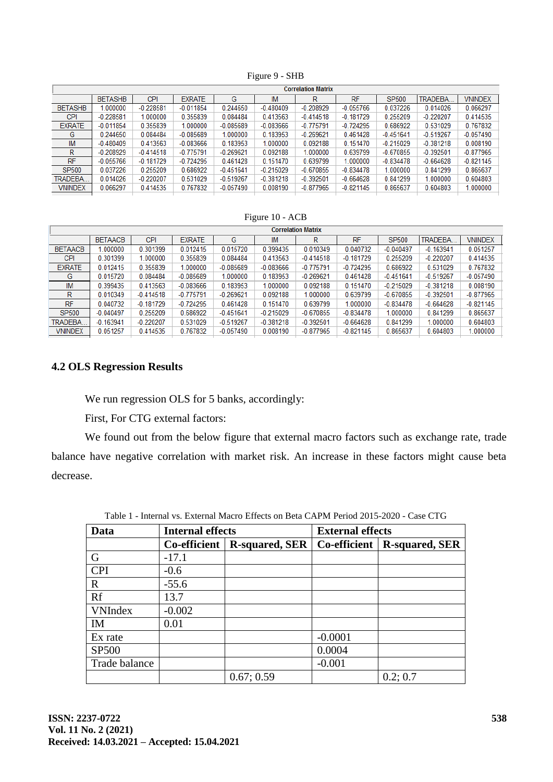|                 |                |             |               |             |             | <b>Correlation Matrix</b> |             |              |             |                |
|-----------------|----------------|-------------|---------------|-------------|-------------|---------------------------|-------------|--------------|-------------|----------------|
|                 | <b>BETASHB</b> | <b>CPI</b>  | <b>EXRATE</b> | G           | IM          | R                         | <b>RF</b>   | <b>SP500</b> | TRADEBA     | <b>VNINDEX</b> |
| <b>BETASHB</b>  | .000000        | $-0.228581$ | $-0.011854$   | 0.244650    | $-0.480409$ | $-0.208929$               | $-0.055766$ | 0.037226     | 0.014026    | 0.066297       |
| <b>CPI</b>      | $-0.228581$    | 1.000000    | 0.355839      | 0.084484    | 0.413563    | $-0.414518$               | $-0.181729$ | 0.255209     | $-0.220207$ | 0.414535       |
| <b>EXRATE</b>   | $-0.011854$    | 0.355839    | 1.000000      | $-0.085689$ | $-0.083666$ | $-0.775791$               | $-0.724295$ | 0.686922     | 0.531029    | 0.767832       |
| G               | 0.244650       | 0.084484    | $-0.085689$   | 1.000000    | 0.183953    | $-0.269621$               | 0.461428    | $-0.451641$  | $-0.519267$ | $-0.057490$    |
| <b>IM</b>       | $-0.480409$    | 0.413563    | $-0.083666$   | 0.183953    | 1.000000    | 0.092188                  | 0.151470    | $-0.215029$  | $-0.381218$ | 0.008190       |
| R               | $-0.208929$    | $-0.414518$ | $-0.775791$   | $-0.269621$ | 0.092188    | 1.000000                  | 0.639799    | $-0.670855$  | $-0.392501$ | $-0.877965$    |
| RF              | $-0.055766$    | $-0.181729$ | $-0.724295$   | 0.461428    | 0.151470    | 0.639799                  | 1.000000    | $-0.834478$  | $-0.664628$ | $-0.821145$    |
| SP500           | 0.037226       | 0.255209    | 0.686922      | $-0.451641$ | $-0.215029$ | $-0.670855$               | $-0.834478$ | 1.000000     | 0.841299    | 0.865637       |
| <b>TRADEBA.</b> | 0.014026       | $-0.220207$ | 0.531029      | $-0.519267$ | $-0.381218$ | $-0.392501$               | $-0.664628$ | 0.841299     | 1.000000    | 0.604803       |
| <b>VNINDEX</b>  | 0.066297       | 0.414535    | 0.767832      | $-0.057490$ | 0.008190    | $-0.877965$               | $-0.821145$ | 0.865637     | 0.604803    | 1.000000       |
|                 |                |             |               |             |             |                           |             |              |             |                |

Figure 9 - SHB

#### Figure 10 - ACB

| <b>Correlation Matrix</b> |                |             |               |             |             |             |             |              |             |                |
|---------------------------|----------------|-------------|---------------|-------------|-------------|-------------|-------------|--------------|-------------|----------------|
|                           | <b>BETAACB</b> | <b>CPI</b>  | <b>EXRATE</b> | G           | IM          | R           | <b>RF</b>   | <b>SP500</b> | TRADEBA     | <b>VNINDEX</b> |
| <b>BETAACB</b>            | .000000        | 0.301399    | 0.012415      | 0.015720    | 0.399435    | 0.010349    | 0.040732    | $-0.040497$  | $-0.163941$ | 0.051257       |
| <b>CPI</b>                | 0.301399       | 1.000000    | 0.355839      | 0.084484    | 0.413563    | $-0.414518$ | $-0.181729$ | 0.255209     | $-0.220207$ | 0.414535       |
| <b>EXRATE</b>             | 0.012415       | 0.355839    | 1.000000      | $-0.085689$ | $-0.083666$ | $-0.775791$ | $-0.724295$ | 0.686922     | 0.531029    | 0.767832       |
| G                         | 0.015720       | 0.084484    | $-0.085689$   | 1.000000    | 0.183953    | $-0.269621$ | 0.461428    | $-0.451641$  | $-0.519267$ | $-0.057490$    |
| <b>IM</b>                 | 0.399435       | 0.413563    | $-0.083666$   | 0.183953    | 1.000000    | 0.092188    | 0.151470    | $-0.215029$  | $-0.381218$ | 0.008190       |
| R                         | 0.010349       | $-0.414518$ | $-0.775791$   | $-0.269621$ | 0.092188    | 1.000000    | 0.639799    | $-0.670855$  | $-0.392501$ | $-0.877965$    |
| <b>RF</b>                 | 0.040732       | $-0.181729$ | $-0.724295$   | 0.461428    | 0.151470    | 0.639799    | 1.000000    | $-0.834478$  | $-0.664628$ | $-0.821145$    |
| SP500                     | $-0.040497$    | 0.255209    | 0.686922      | $-0.451641$ | $-0.215029$ | $-0.670855$ | $-0.834478$ | 1.000000     | 0.841299    | 0.865637       |
| <b>TRADEBA.</b>           | $-0.163941$    | $-0.220207$ | 0.531029      | $-0.519267$ | $-0.381218$ | $-0.392501$ | $-0.664628$ | 0.841299     | 1.000000    | 0.604803       |
| <b>VNINDEX</b>            | 0.051257       | 0.414535    | 0.767832      | $-0.057490$ | 0.008190    | $-0.877965$ | $-0.821145$ | 0.865637     | 0.604803    | 1.000000       |

## **4.2 OLS Regression Results**

We run regression OLS for 5 banks, accordingly:

First, For CTG external factors:

We found out from the below figure that external macro factors such as exchange rate, trade balance have negative correlation with market risk. An increase in these factors might cause beta decrease.

| Data           | <b>Internal effects</b> |                       | <b>External effects</b> |                       |  |
|----------------|-------------------------|-----------------------|-------------------------|-----------------------|--|
|                | Co-efficient            | <b>R-squared, SER</b> | Co-efficient            | <b>R-squared, SER</b> |  |
| G              | $-17.1$                 |                       |                         |                       |  |
| <b>CPI</b>     | $-0.6$                  |                       |                         |                       |  |
| $\mathbf R$    | $-55.6$                 |                       |                         |                       |  |
| Rf             | 13.7                    |                       |                         |                       |  |
| <b>VNIndex</b> | $-0.002$                |                       |                         |                       |  |
| IM             | 0.01                    |                       |                         |                       |  |
| Ex rate        |                         |                       | $-0.0001$               |                       |  |
| <b>SP500</b>   |                         |                       | 0.0004                  |                       |  |
| Trade balance  |                         |                       | $-0.001$                |                       |  |
|                |                         | 0.67; 0.59            |                         | 0.2; 0.7              |  |

Table 1 - Internal vs. External Macro Effects on Beta CAPM Period 2015-2020 - Case CTG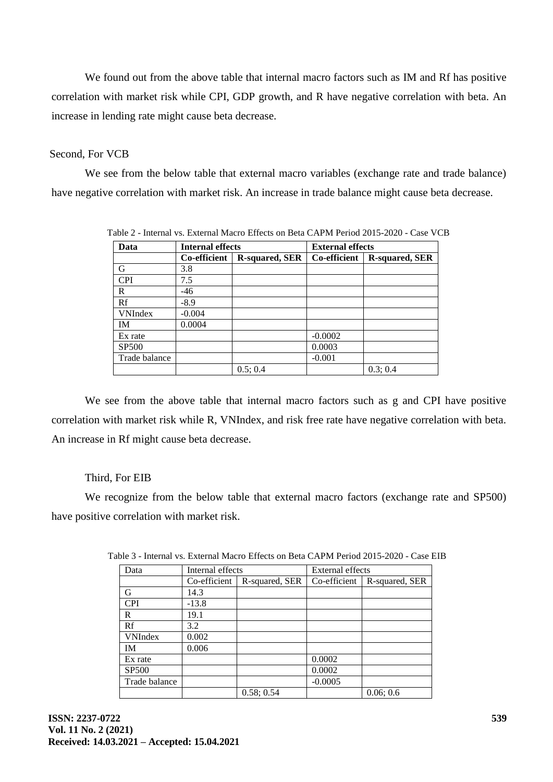We found out from the above table that internal macro factors such as IM and Rf has positive correlation with market risk while CPI, GDP growth, and R have negative correlation with beta. An increase in lending rate might cause beta decrease.

## Second, For VCB

We see from the below table that external macro variables (exchange rate and trade balance) have negative correlation with market risk. An increase in trade balance might cause beta decrease.

| Data           | <b>Internal effects</b> |                       | <b>External effects</b> |                       |  |
|----------------|-------------------------|-----------------------|-------------------------|-----------------------|--|
|                | Co-efficient            | <b>R-squared, SER</b> | Co-efficient            | <b>R-squared, SER</b> |  |
| G              | 3.8                     |                       |                         |                       |  |
| <b>CPI</b>     | 7.5                     |                       |                         |                       |  |
| R              | $-46$                   |                       |                         |                       |  |
| Rf             | $-8.9$                  |                       |                         |                       |  |
| <b>VNIndex</b> | $-0.004$                |                       |                         |                       |  |
| <b>IM</b>      | 0.0004                  |                       |                         |                       |  |
| Ex rate        |                         |                       | $-0.0002$               |                       |  |
| <b>SP500</b>   |                         |                       | 0.0003                  |                       |  |
| Trade balance  |                         |                       | $-0.001$                |                       |  |
|                |                         | 0.5; 0.4              |                         | 0.3; 0.4              |  |

Table 2 - Internal vs. External Macro Effects on Beta CAPM Period 2015-2020 - Case VCB

We see from the above table that internal macro factors such as g and CPI have positive correlation with market risk while R, VNIndex, and risk free rate have negative correlation with beta. An increase in Rf might cause beta decrease.

## Third, For EIB

We recognize from the below table that external macro factors (exchange rate and SP500) have positive correlation with market risk.

| Data           | Internal effects |                | <b>External effects</b> |                |  |
|----------------|------------------|----------------|-------------------------|----------------|--|
|                | Co-efficient     | R-squared, SER | Co-efficient            | R-squared, SER |  |
| G              | 14.3             |                |                         |                |  |
| <b>CPI</b>     | $-13.8$          |                |                         |                |  |
| R              | 19.1             |                |                         |                |  |
| Rf             | 3.2              |                |                         |                |  |
| <b>VNIndex</b> | 0.002            |                |                         |                |  |
| IM             | 0.006            |                |                         |                |  |
| Ex rate        |                  |                | 0.0002                  |                |  |
| <b>SP500</b>   |                  |                | 0.0002                  |                |  |
| Trade balance  |                  |                | $-0.0005$               |                |  |
|                |                  | 0.58; 0.54     |                         | 0.06; 0.6      |  |

Table 3 - Internal vs. External Macro Effects on Beta CAPM Period 2015-2020 - Case EIB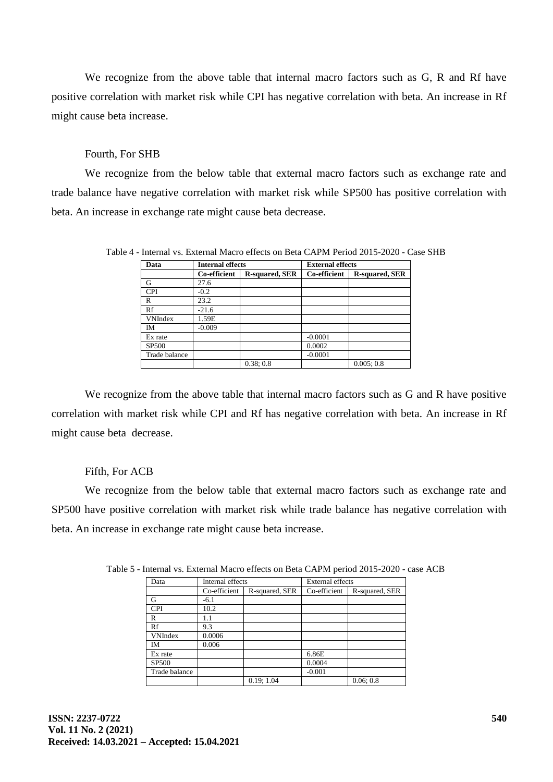We recognize from the above table that internal macro factors such as G, R and Rf have positive correlation with market risk while CPI has negative correlation with beta. An increase in Rf might cause beta increase.

### Fourth, For SHB

We recognize from the below table that external macro factors such as exchange rate and trade balance have negative correlation with market risk while SP500 has positive correlation with beta. An increase in exchange rate might cause beta decrease.

| Data           | <b>Internal effects</b> |                       | <b>External effects</b> |                       |  |
|----------------|-------------------------|-----------------------|-------------------------|-----------------------|--|
|                | Co-efficient            | <b>R-squared, SER</b> | Co-efficient            | <b>R-squared, SER</b> |  |
| G              | 27.6                    |                       |                         |                       |  |
| <b>CPI</b>     | $-0.2$                  |                       |                         |                       |  |
| R              | 23.2                    |                       |                         |                       |  |
| Rf             | $-21.6$                 |                       |                         |                       |  |
| <b>VNIndex</b> | 1.59E                   |                       |                         |                       |  |
| <b>IM</b>      | $-0.009$                |                       |                         |                       |  |
| Ex rate        |                         |                       | $-0.0001$               |                       |  |
| <b>SP500</b>   |                         |                       | 0.0002                  |                       |  |
| Trade balance  |                         |                       | $-0.0001$               |                       |  |
|                |                         | 0.38;0.8              |                         | 0.005:0.8             |  |

Table 4 - Internal vs. External Macro effects on Beta CAPM Period 2015-2020 - Case SHB

We recognize from the above table that internal macro factors such as G and R have positive correlation with market risk while CPI and Rf has negative correlation with beta. An increase in Rf might cause beta decrease.

## Fifth, For ACB

We recognize from the below table that external macro factors such as exchange rate and SP500 have positive correlation with market risk while trade balance has negative correlation with beta. An increase in exchange rate might cause beta increase.

| Data           | Internal effects |                | <b>External effects</b> |                |
|----------------|------------------|----------------|-------------------------|----------------|
|                | Co-efficient     | R-squared, SER | Co-efficient            | R-squared, SER |
| G              | $-6.1$           |                |                         |                |
| <b>CPI</b>     | 10.2             |                |                         |                |
| R              | 1.1              |                |                         |                |
| Rf             | 9.3              |                |                         |                |
| <b>VNIndex</b> | 0.0006           |                |                         |                |
| <b>IM</b>      | 0.006            |                |                         |                |
| Ex rate        |                  |                | 6.86E                   |                |
| <b>SP500</b>   |                  |                | 0.0004                  |                |
| Trade balance  |                  |                | $-0.001$                |                |
|                |                  | 0.19; 1.04     |                         | 0.06:0.8       |

Table 5 - Internal vs. External Macro effects on Beta CAPM period 2015-2020 - case ACB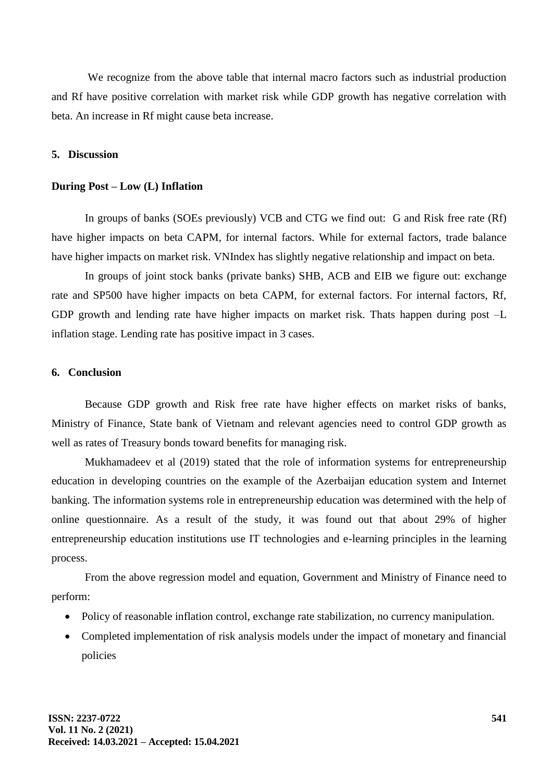We recognize from the above table that internal macro factors such as industrial production and Rf have positive correlation with market risk while GDP growth has negative correlation with beta. An increase in Rf might cause beta increase.

#### **5. Discussion**

#### **During Post – Low (L) Inflation**

In groups of banks (SOEs previously) VCB and CTG we find out: G and Risk free rate (Rf) have higher impacts on beta CAPM, for internal factors. While for external factors, trade balance have higher impacts on market risk. VNIndex has slightly negative relationship and impact on beta.

In groups of joint stock banks (private banks) SHB, ACB and EIB we figure out: exchange rate and SP500 have higher impacts on beta CAPM, for external factors. For internal factors, Rf, GDP growth and lending rate have higher impacts on market risk. Thats happen during post –L inflation stage. Lending rate has positive impact in 3 cases.

#### **6. Conclusion**

Because GDP growth and Risk free rate have higher effects on market risks of banks, Ministry of Finance, State bank of Vietnam and relevant agencies need to control GDP growth as well as rates of Treasury bonds toward benefits for managing risk.

Mukhamadeev et al (2019) stated that the role of information systems for entrepreneurship education in developing countries on the example of the Azerbaijan education system and Internet banking. The information systems role in entrepreneurship education was determined with the help of online questionnaire. As a result of the study, it was found out that about 29% of higher entrepreneurship education institutions use IT technologies and e-learning principles in the learning process.

From the above regression model and equation, Government and Ministry of Finance need to perform:

- Policy of reasonable inflation control, exchange rate stabilization, no currency manipulation.
- Completed implementation of risk analysis models under the impact of monetary and financial policies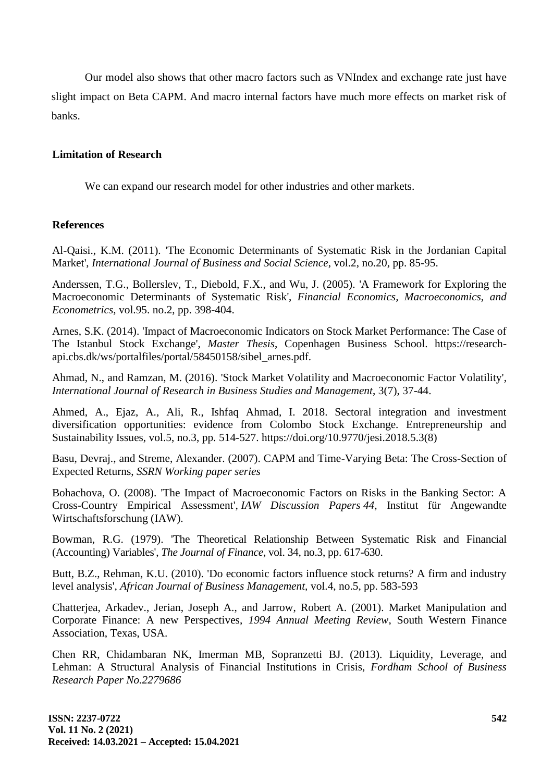Our model also shows that other macro factors such as VNIndex and exchange rate just have slight impact on Beta CAPM. And macro internal factors have much more effects on market risk of banks.

## **Limitation of Research**

We can expand our research model for other industries and other markets.

## **References**

Al-Qaisi., K.M. (2011). 'The Economic Determinants of Systematic Risk in the Jordanian Capital Market', *International Journal of Business and Social Science*, vol.2, no.20, pp. 85-95.

Anderssen, T.G., Bollerslev, T., Diebold, F.X., and Wu, J. (2005). 'A Framework for Exploring the Macroeconomic Determinants of Systematic Risk', *Financial Economics, Macroeconomics, and Econometrics,* vol.95. no.2, pp. 398-404.

Arnes, S.K. (2014). 'Impact of Macroeconomic Indicators on Stock Market Performance: The Case of The Istanbul Stock Exchange', *Master Thesis*, Copenhagen Business School. https://researchapi.cbs.dk/ws/portalfiles/portal/58450158/sibel\_arnes.pdf.

Ahmad, N., and Ramzan, M. (2016). 'Stock Market Volatility and Macroeconomic Factor Volatility', *International Journal of Research in Business Studies and Management*, 3(7), 37-44.

Ahmed, A., Ejaz, A., Ali, R., Ishfaq Ahmad, I. 2018. Sectoral integration and investment diversification opportunities: evidence from Colombo Stock Exchange. Entrepreneurship and Sustainability Issues, vol.5, no.3, pp. 514-527. [https://doi.org/10.9770/jesi.2018.5.3\(8\)](https://doi.org/10.9770/jesi.2018.5.3(8))

Basu, Devraj., and Streme, Alexander. (2007). CAPM and Time-Varying Beta: The Cross-Section of Expected Returns, *SSRN Working paper series*

Bohachova, O. (2008). ['The Impact of Macroeconomic Factors on Risks in the Banking Sector: A](https://ideas.repec.org/p/iaw/iawdip/44.html)  [Cross-Country Empirical Assessment',](https://ideas.repec.org/p/iaw/iawdip/44.html) *[IAW Discussion Papers](https://ideas.repec.org/s/iaw/iawdip.html) 44,* Institut für Angewandte Wirtschaftsforschung (IAW).

Bowman, R.G. (1979). 'The Theoretical Relationship Between Systematic Risk and Financial (Accounting) Variables', *The Journal of Finance*, vol. 34, no.3, pp. 617-630.

Butt, B.Z., Rehman, K.U. (2010). 'Do economic factors influence stock returns? A firm and industry level analysis', *African Journal of Business Management,* vol.4, no.5, pp. 583-593

Chatterjea, Arkadev., Jerian, Joseph A., and Jarrow, Robert A. (2001). Market Manipulation and Corporate Finance: A new Perspectives, *1994 Annual Meeting Review*, South Western Finance Association, Texas, USA.

Chen RR, Chidambaran NK, Imerman MB, Sopranzetti BJ. (2013). Liquidity, Leverage, and Lehman: A Structural Analysis of Financial Institutions in Crisis, *Fordham School of Business Research Paper No.2279686*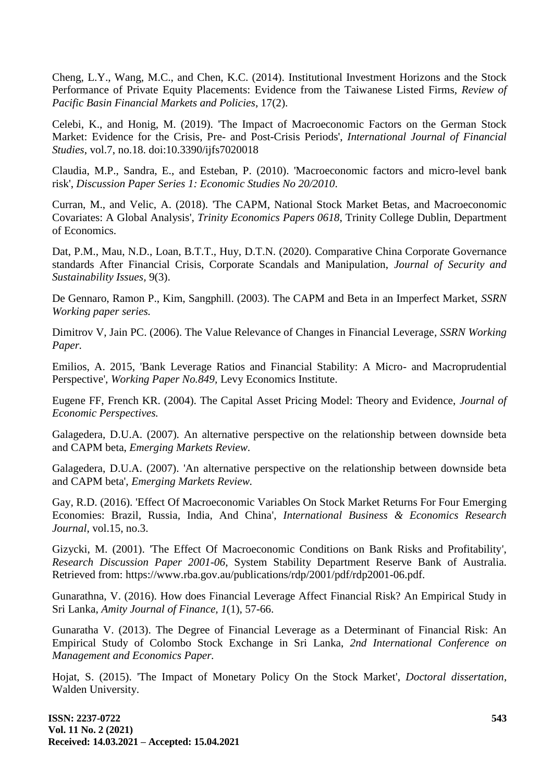Cheng, L.Y., Wang, M.C., and Chen, K.C. (2014). Institutional Investment Horizons and the Stock Performance of Private Equity Placements: Evidence from the Taiwanese Listed Firms, *[Review of](https://www.worldscientific.com/worldscinet/rpbfmp)  [Pacific Basin Financial Markets and Policies](https://www.worldscientific.com/worldscinet/rpbfmp)*, 17(2).

Celebi, K., and Honig, M. (2019). 'The Impact of Macroeconomic Factors on the German Stock Market: Evidence for the Crisis, Pre- and Post-Crisis Periods', *International Journal of Financial Studies*, vol.7, no.18. doi:10.3390/ijfs7020018

Claudia, M.P., Sandra, E., and Esteban, P. (2010). 'Macroeconomic factors and micro-level bank risk', *Discussion Paper Series 1: Economic Studies No 20/2010*.

Curran, M., and Velic, A. (2018). ['The CAPM, National Stock Market Betas, and Macroeconomic](https://ideas.repec.org/p/tcd/tcduee/tep0618.html)  [Covariates: A Global Analysis'](https://ideas.repec.org/p/tcd/tcduee/tep0618.html), *[Trinity Economics Papers](https://ideas.repec.org/s/tcd/tcduee.html) 0618*, Trinity College Dublin, Department of Economics.

Dat, P.M., Mau, N.D., Loan, B.T.T., Huy, D.T.N. (2020). [Comparative China Corporate Governance](http://www.tb.lt/Leidiniai/SSI/9-3/9_3_18.pdf)  [standards After Financial Crisis, Corporate Scandals and Manipulation,](http://www.tb.lt/Leidiniai/SSI/9-3/9_3_18.pdf) *Journal of Security and Sustainability Issues,* 9(3).

De Gennaro, Ramon P., Kim, Sangphill. (2003). The CAPM and Beta in an Imperfect Market, *SSRN Working paper series.*

Dimitrov V, Jain PC. (2006). The Value Relevance of Changes in Financial Leverage*, SSRN Working Paper.*

Emilios, A. 2015, 'Bank Leverage Ratios and Financial Stability: A Micro- and Macroprudential Perspective', *Working Paper No.849,* Levy Economics Institute.

Eugene FF, French KR. (2004). The Capital Asset Pricing Model: Theory and Evidence, *Journal of Economic Perspectives.* 

Galagedera, D.U.A. (2007)*.* An alternative perspective on the relationship between downside beta and CAPM beta, *Emerging Markets Review.*

Galagedera, D.U.A. (2007). 'An alternative perspective on the relationship between downside beta and CAPM beta', *Emerging Markets Review.*

Gay, R.D. (2016). 'Effect Of Macroeconomic Variables On Stock Market Returns For Four Emerging Economies: Brazil, Russia, India, And China', *International Business & Economics Research Journal*, vol.15, no.3.

Gizycki, M. (2001). 'The Effect Of Macroeconomic Conditions on Bank Risks and Profitability', *Research Discussion Paper 2001-06*, System Stability Department Reserve Bank of Australia. Retrieved from:<https://www.rba.gov.au/publications/rdp/2001/pdf/rdp2001-06.pdf.>

Gunarathna, V. (2016). How does Financial Leverage Affect Financial Risk? An Empirical Study in Sri Lanka, *Amity Journal of Finance, 1*(1), 57-66.

Gunaratha V. (2013). The Degree of Financial Leverage as a Determinant of Financial Risk: An Empirical Study of Colombo Stock Exchange in Sri Lanka, *2nd International Conference on Management and Economics Paper.*

Hojat, S. (2015). 'The Impact of Monetary Policy On the Stock Market', *Doctoral dissertation*, Walden University.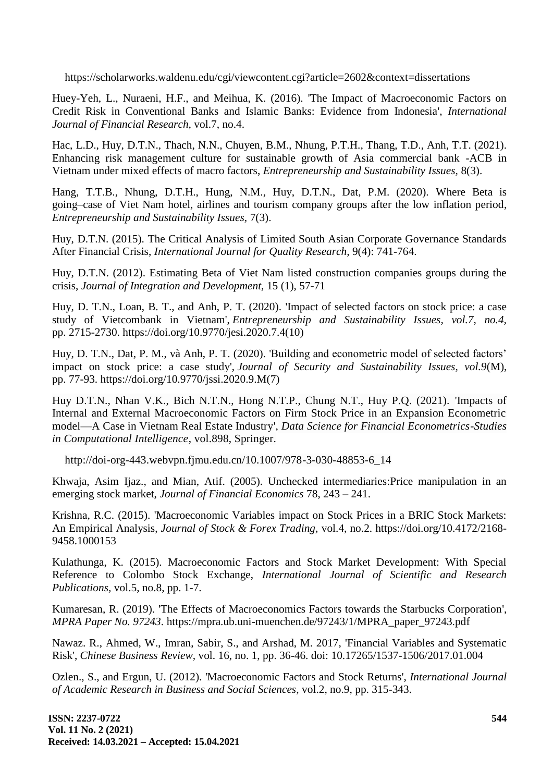<https://scholarworks.waldenu.edu/cgi/viewcontent.cgi?article=2602&context=dissertations>

Huey-Yeh, L., Nuraeni, H.F., and Meihua, K. (2016). 'The Impact of Macroeconomic Factors on Credit Risk in Conventional Banks and Islamic Banks: Evidence from Indonesia', *International Journal of Financial Research,* vol.7, no.4.

Hac, L.D., Huy, D.T.N., Thach, N.N., Chuyen, B.M., Nhung, P.T.H., Thang, T.D., Anh, T.T. (2021). [Enhancing risk management culture for sustainable growth of Asia commercial bank -ACB in](http://jssidoi.org/jesi/article/782)  [Vietnam under mixed effects of macro factors,](http://jssidoi.org/jesi/article/782) *Entrepreneurship and Sustainability Issues,* 8(3).

Hang, T.T.B., Nhung, D.T.H., Hung, N.M., Huy, D.T.N., Dat, P.M. (2020). [Where Beta is](http://jssidoi.org/jesi/article/download/521/Hang_Where_Beta_is_going__case_of_Viet_Nam_hotel_airlines_and_tourism_company_groups_after_the_low_inflation_period.pdf)  [going–case of Viet Nam hotel, airlines and tourism company groups after the low inflation period,](http://jssidoi.org/jesi/article/download/521/Hang_Where_Beta_is_going__case_of_Viet_Nam_hotel_airlines_and_tourism_company_groups_after_the_low_inflation_period.pdf) *Entrepreneurship and Sustainability Issues,* 7(3).

Huy, D.T.N. (2015). The Critical Analysis of Limited South Asian Corporate Governance Standards After Financial Crisis, *International Journal for Quality Research,* 9(4): 741-764.

Huy, D.T.N. (2012). [Estimating Beta of Viet Nam listed construction companies groups during the](https://scholar.google.com.vn/javascript:void(0))  [crisis,](https://scholar.google.com.vn/javascript:void(0)) *Journal of Integration and Development,* 15 (1), 57-71

Huy, D. T.N., Loan, B. T., and Anh, P. T. (2020). 'Impact of selected factors on stock price: a case study of Vietcombank in Vietnam', *Entrepreneurship and Sustainability Issues, vol.7, no.4,* pp. 2715-2730. [https://doi.org/10.9770/jesi.2020.7.4\(10\)](https://doi.org/10.9770/jesi.2020.7.4(10))

Huy, D. T.N., Dat, P. M., và Anh, P. T. (2020). 'Building and econometric model of selected factors' impact on stock price: a case study', *Journal of Security and Sustainability Issues, vol.9*(M), pp. 77-93. [https://doi.org/10.9770/jssi.2020.9.M\(7\)](https://doi.org/10.9770/jssi.2020.9.M(7))

Huy D.T.N., Nhan V.K., Bich N.T.N., Hong N.T.P., Chung N.T., Huy P.Q. (2021). 'Impacts of Internal and External Macroeconomic Factors on Firm Stock Price in an Expansion Econometric model—A Case in Vietnam Real Estate Industry', *Data Science for Financial Econometrics-Studies in Computational Intelligence*, vol.898, Springer.

[http://doi-org-443.webvpn.fjmu.edu.cn/10.1007/978-3-030-48853-6\\_14](http://doi-org-443.webvpn.fjmu.edu.cn/10.1007/978-3-030-48853-6_14)

Khwaja, Asim Ijaz., and Mian, Atif. (2005). Unchecked intermediaries:Price manipulation in an emerging stock market, *Journal of Financial Economics* 78, 243 – 241.

Krishna, R.C. (2015). 'Macroeconomic Variables impact on Stock Prices in a BRIC Stock Markets: An Empirical Analysis, *Journal of Stock & Forex Trading,* vol.4, no.2. https://doi.org/10.4172/2168- 9458.1000153

Kulathunga, K. (2015). Macroeconomic Factors and Stock Market Development: With Special Reference to Colombo Stock Exchange, *International Journal of Scientific and Research Publications,* vol.5, no.8, pp. 1-7.

Kumaresan, R. (2019). 'The Effects of Macroeconomics Factors towards the Starbucks Corporation', *MPRA Paper No. 97243*. https://mpra.ub.uni-muenchen.de/97243/1/MPRA\_paper\_97243.pdf

Nawaz. R., Ahmed, W., Imran, Sabir, S., and Arshad, M. 2017, 'Financial Variables and Systematic Risk', *Chinese Business Review,* vol. 16, no. 1, pp. 36-46. doi: 10.17265/1537-1506/2017.01.004

Ozlen., S., and Ergun, U. (2012). 'Macroeconomic Factors and Stock Returns', *International Journal of Academic Research in Business and Social Sciences,* vol.2, no.9, pp. 315-343.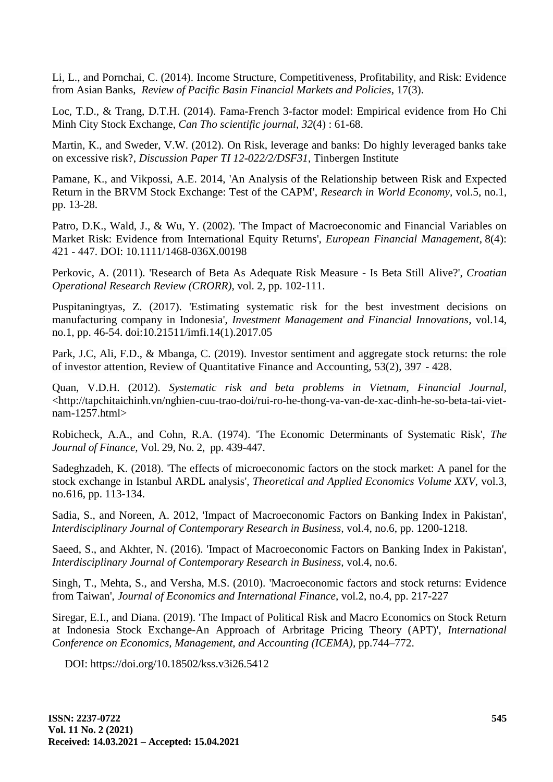Li, L., and Pornchai, C. (2014). Income Structure, Competitiveness, Profitability, and Risk: Evidence from Asian Banks, *[Review of Pacific Basin Financial Markets and Policies](https://www.worldscientific.com/worldscinet/rpbfmp)*, 17(3).

Loc, T.D., & Trang, D.T.H. (2014). Fama-French 3-factor model: Empirical evidence from Ho Chi Minh City Stock Exchange, *Can Tho scientific journal, 32*(4) : 61-68.

Martin, K., and Sweder, V.W. (2012). On Risk, leverage and banks: Do highly leveraged banks take on excessive risk?, *Discussion Paper TI 12-022/2/DSF31*, Tinbergen Institute

Pamane, K., and Vikpossi, A.E. 2014, 'An Analysis of the Relationship between Risk and Expected Return in the BRVM Stock Exchange: Test of the CAPM', *Research in World Economy,* vol.5, no.1, pp. 13-28.

Patro, D.K., Wald, J., & Wu, Y. (2002). 'The Impact of Macroeconomic and Financial Variables on Market Risk: Evidence from International Equity Returns', *[European Financial Management](https://www.researchgate.net/journal/1468-036X_European_Financial_Management)*, 8(4): 421 - 447. DOI: [10.1111/1468-036X.00198](https://www.researchgate.net/deref/http:/dx.doi.org/10.1111/1468-036X.00198)

Perkovic, A. (2011). 'Research of Beta As Adequate Risk Measure - Is Beta Still Alive?', *Croatian Operational Research Review (CRORR)*, vol. 2, pp. 102-111.

Puspitaningtyas, Z. (2017). 'Estimating systematic risk for the best investment decisions on manufacturing company in Indonesia', *Investment Management and Financial Innovations*, vol.14, no.1, pp. 46-54. doi:10.21511/imfi.14(1).2017.05

Park, J.C, Ali, F.D., & Mbanga, C. (2019). Investor sentiment and aggregate stock returns: the role of investor attention, Review of Quantitative Finance and Accounting, 53(2), 397 - 428.

Quan, V.D.H. (2012). *Systematic risk and beta problems in Vietnam, Financial Journal,*  [<http://tapchitaichinh.vn/nghien-cuu-trao-doi/rui-ro-he-thong-va-van-de-xac-dinh-he-so-beta-tai-viet](http://tapchitaichinh.vn/nghien-cuu-trao-doi/rui-ro-he-thong-va-van-de-xac-dinh-he-so-beta-tai-viet-nam-1257.html)[nam-1257.html>](http://tapchitaichinh.vn/nghien-cuu-trao-doi/rui-ro-he-thong-va-van-de-xac-dinh-he-so-beta-tai-viet-nam-1257.html)

Robicheck, A.A., and Cohn, R.A. (1974). 'The Economic Determinants of Systematic Risk', *The Journal of Finance,* [Vol. 29, No. 2,](https://www.jstor.org/stable/i352999) pp. 439-447.

Sadeghzadeh, K. (2018). 'The effects of microeconomic factors on the stock market: A panel for the stock exchange in Istanbul ARDL analysis', *Theoretical and Applied Economics Volume XXV,* vol.3, no.616, pp. 113-134.

Sadia, S., and Noreen, A. 2012, 'Impact of Macroeconomic Factors on Banking Index in Pakistan', *Interdisciplinary Journal of Contemporary Research in Business,* vol.4, no.6, pp. 1200-1218.

Saeed, S., and Akhter, N. (2016). 'Impact of Macroeconomic Factors on Banking Index in Pakistan', *Interdisciplinary Journal of Contemporary Research in Business,* vol.4, no.6.

Singh, T., Mehta, S., and Versha, M.S. (2010). 'Macroeconomic factors and stock returns: Evidence from Taiwan', *Journal of Economics and International Finance*, vol.2, no.4, pp. 217-227

Siregar, E.I., and Diana. (2019). 'The Impact of Political Risk and Macro Economics on Stock Return at Indonesia Stock Exchange-An Approach of Arbritage Pricing Theory (APT)', *[International](https://knepublishing.com/index.php/KnE-Social/issue/view/184)  [Conference on Economics, Management, and Accounting \(ICEMA\),](https://knepublishing.com/index.php/KnE-Social/issue/view/184)* pp.744–772.

DOI:<https://doi.org/10.18502/kss.v3i26.5412>